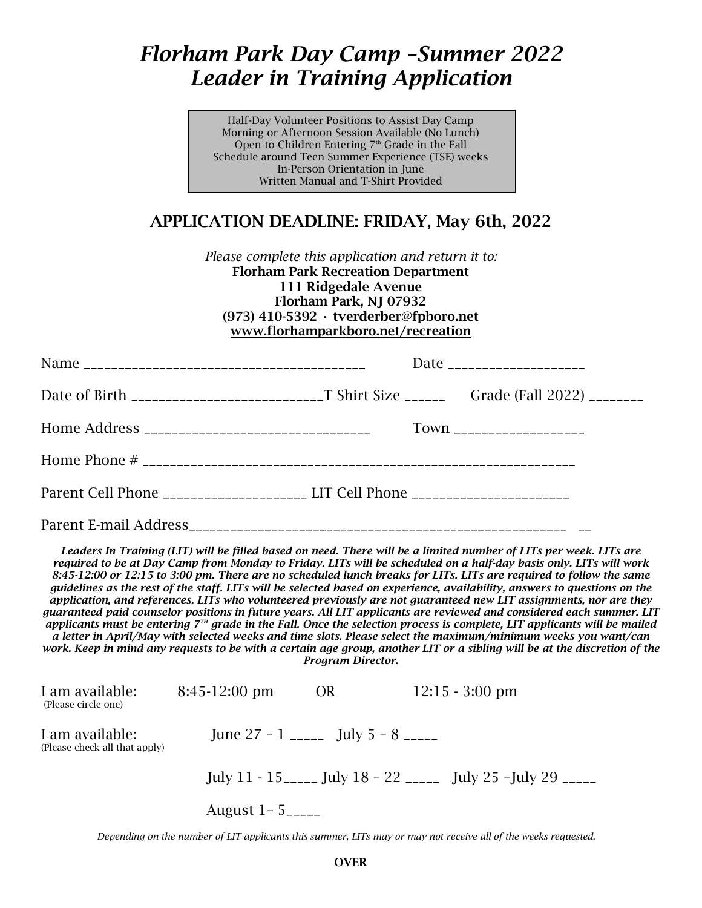## *Florham Park Day Camp –Summer 2022 Leader in Training Application*

Half-Day Volunteer Positions to Assist Day Camp Morning or Afternoon Session Available (No Lunch) Open to Children Entering  $7<sup>th</sup>$  Grade in the Fall Schedule around Teen Summer Experience (TSE) weeks In-Person Orientation in June Written Manual and T-Shirt Provided

## APPLICATION DEADLINE: FRIDAY, May 6th, 2022

*Please complete this application and return it to:* Florham Park Recreation Department 111 Ridgedale Avenue Florham Park, NJ 07932 (973) 410-5392 • tverderber@fpboro.net [www.florhamparkboro.net/recreation](http://www.florhamparkboro.net/recreation)

|                                                                                  | Date ______________________ |                           |  |  |
|----------------------------------------------------------------------------------|-----------------------------|---------------------------|--|--|
|                                                                                  |                             |                           |  |  |
|                                                                                  |                             | Town ____________________ |  |  |
|                                                                                  |                             |                           |  |  |
| Parent Cell Phone ______________________ LIT Cell Phone ________________________ |                             |                           |  |  |
|                                                                                  |                             |                           |  |  |

*Leaders In Training (LIT) will be filled based on need. There will be a limited number of LITs per week. LITs are required to be at Day Camp from Monday to Friday. LITs will be scheduled on a half-day basis only. LITs will work 8:45-12:00 or 12:15 to 3:00 pm. There are no scheduled lunch breaks for LITs. LITs are required to follow the same guidelines as the rest of the staff. LITs will be selected based on experience, availability, answers to questions on the application, and references. LITs who volunteered previously are not guaranteed new LIT assignments, nor are they guaranteed paid counselor positions in future years. All LIT applicants are reviewed and considered each summer. LIT* applicants must be entering 7<sup>TH</sup> grade in the Fall. Once the selection process is complete, LIT applicants will be mailed *a letter in April/May with selected weeks and time slots. Please select the maximum/minimum weeks you want/can work. Keep in mind any requests to be with a certain age group, another LIT or a sibling will be at the discretion of the Program Director.* 

| I am available:<br>(Please circle one)           | $8:45-12:00 \text{ pm}$            | <b>OR</b> | $12:15 - 3:00 \text{ pm}$                                   |  |
|--------------------------------------------------|------------------------------------|-----------|-------------------------------------------------------------|--|
| I am available:<br>(Please check all that apply) | June 27 - 1 _____ July 5 - 8 _____ |           |                                                             |  |
|                                                  |                                    |           | July 11 - 15_____ July 18 - 22 _____ July 25 -July 29 _____ |  |
|                                                  | August $1 - 5$ <sub>-----</sub>    |           |                                                             |  |

 *Depending on the number of LIT applicants this summer, LITs may or may not receive all of the weeks requested.*